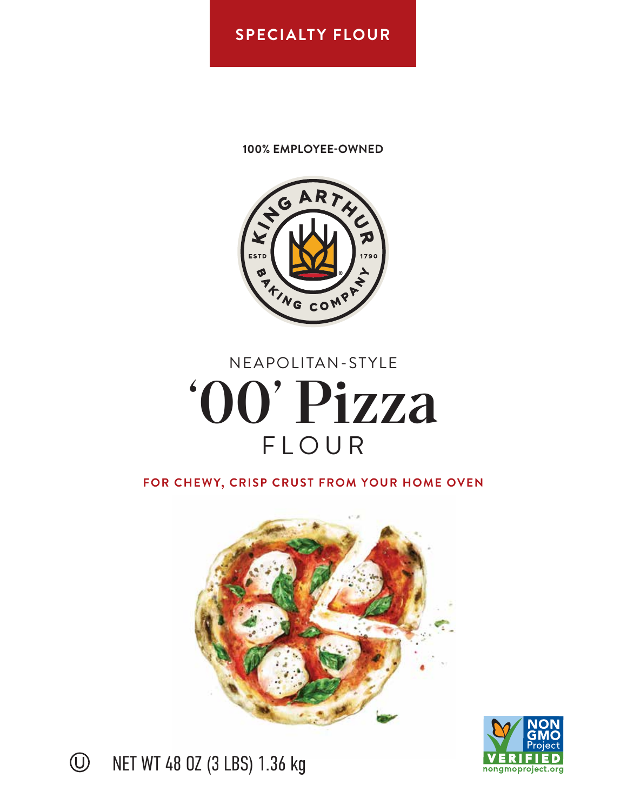### **SPECIALTY FLOUR**

### **100% EMPLOYEE-OWNED**



# NEAPOLITAN-STYLE '00' Pizza FLOUR

**FOR CHEWY, CRISP CRUST FROM YOUR HOME OVEN**







NET WT 48 OZ (3 LBS) 1.36 kg